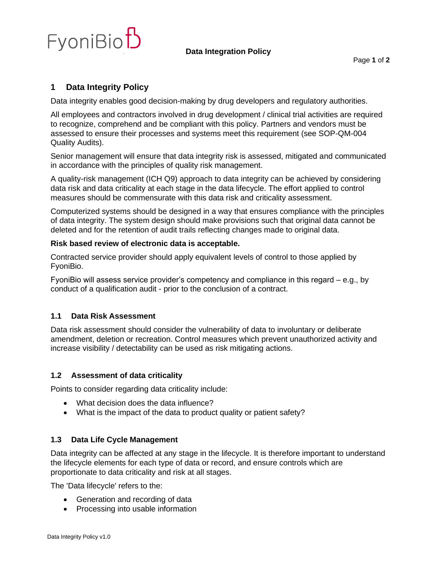

# **1 Data Integrity Policy**

Data integrity enables good decision-making by drug developers and regulatory authorities.

All employees and contractors involved in drug development / clinical trial activities are required to recognize, comprehend and be compliant with this policy. Partners and vendors must be assessed to ensure their processes and systems meet this requirement (see SOP-QM-004 Quality Audits).

Senior management will ensure that data integrity risk is assessed, mitigated and communicated in accordance with the principles of quality risk management.

A quality-risk management (ICH Q9) approach to data integrity can be achieved by considering data risk and data criticality at each stage in the data lifecycle. The effort applied to control measures should be commensurate with this data risk and criticality assessment.

Computerized systems should be designed in a way that ensures compliance with the principles of data integrity. The system design should make provisions such that original data cannot be deleted and for the retention of audit trails reflecting changes made to original data.

#### **Risk based review of electronic data is acceptable.**

Contracted service provider should apply equivalent levels of control to those applied by FyoniBio.

FyoniBio will assess service provider's competency and compliance in this regard – e.g., by conduct of a qualification audit - prior to the conclusion of a contract.

### **1.1 Data Risk Assessment**

Data risk assessment should consider the vulnerability of data to involuntary or deliberate amendment, deletion or recreation. Control measures which prevent unauthorized activity and increase visibility / detectability can be used as risk mitigating actions.

### **1.2 Assessment of data criticality**

Points to consider regarding data criticality include:

- What decision does the data influence?
- What is the impact of the data to product quality or patient safety?

### **1.3 Data Life Cycle Management**

Data integrity can be affected at any stage in the lifecycle. It is therefore important to understand the lifecycle elements for each type of data or record, and ensure controls which are proportionate to data criticality and risk at all stages.

The 'Data lifecycle' refers to the:

- Generation and recording of data
- Processing into usable information